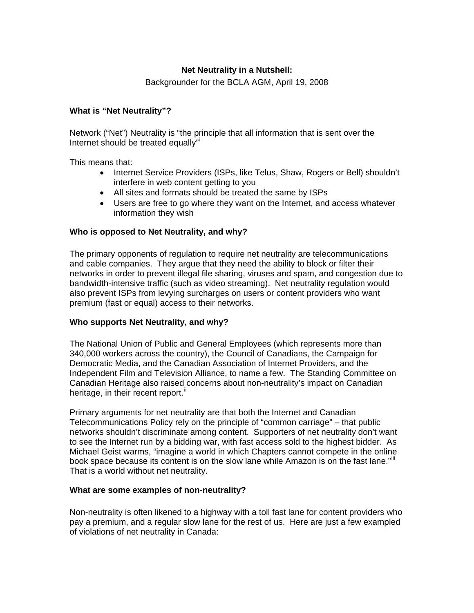# **Net Neutrality in a Nutshell:**

Backgrounder for the BCLA AGM, April 19, 2008

### **What is "Net Neutrality"?**

Network ("Net") Neutrality is "the principle that all information that is sent over the Internet should be treated equally"

This means that:

- Internet Service Providers (ISPs, like Telus, Shaw, Rogers or Bell) shouldn't interfere in web content getting to you
- All sites and formats should be treated the same by ISPs
- Users are free to go where they want on the Internet, and access whatever information they wish

### **Who is opposed to Net Neutrality, and why?**

The primary opponents of regulation to require net neutrality are telecommunications and cable companies. They argue that they need the ability to block or filter their networks in order to prevent illegal file sharing, viruses and spam, and congestion due to bandwidth-intensive traffic (such as video streaming). Net neutrality regulation would also prevent ISPs from levying surcharges on users or content providers who want premium (fast or equal) access to their networks.

#### **Who supports Net Neutrality, and why?**

The National Union of Public and General Employees (which represents more than 340,000 workers across the country), the Council of Canadians, the Campaign for Democratic Media, and the Canadian Association of Internet Providers, and the Independent Film and Television Alliance, to name a few. The Standing Committee on Canadian Heritage also raised concerns about non-neutrality's impact on Canadian heritage, in their recent report. $\mathbf{I}$ 

Primary arguments for net neutrality are that both the Internet and Canadian Telecommunications Policy rely on the principle of "common carriage" – that public networks shouldn't discriminate among content. Supporters of net neutrality don't want to see the Internet run by a bidding war, with fast access sold to the highest bidder. As Michael Geist warms, "imagine a world in which Chapters cannot compete in the online book space because its content is on the slow lane while Amazon is on the fast lane."[iii](#page-1-1) That is a world without net neutrality.

#### **What are some examples of non-neutrality?**

Non-neutrality is often likened to a highway with a toll fast lane for content providers who pay a premium, and a regular slow lane for the rest of us. Here are just a few exampled of violations of net neutrality in Canada: